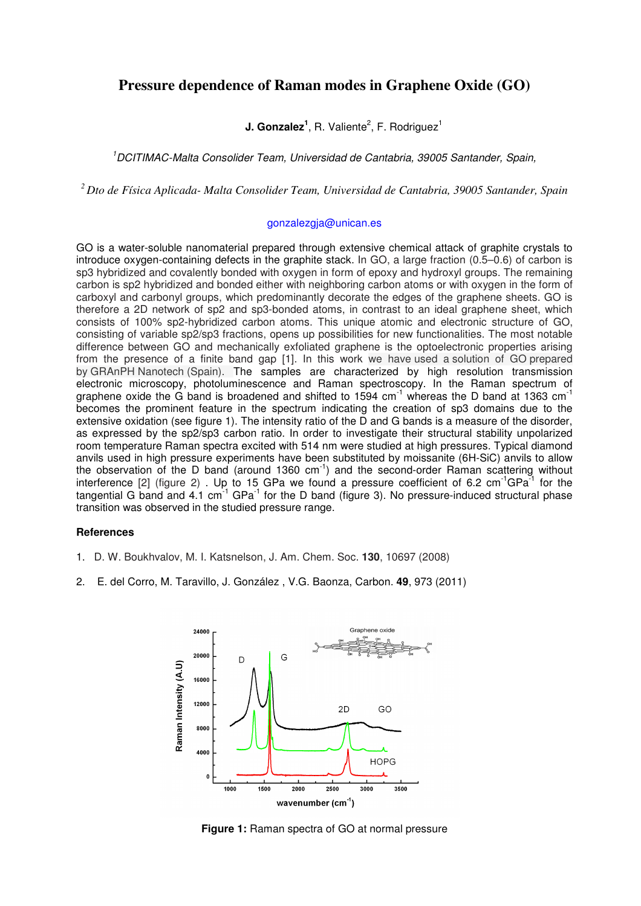## **Pressure dependence of Raman modes in Graphene Oxide (GO)**

**J. Gonzalez<sup>1</sup>**, R. Valiente<sup>2</sup>, F. Rodriguez<sup>1</sup>

<sup>1</sup>DCITIMAC-Malta Consolider Team, Universidad de Cantabria, 39005 Santander, Spain,

*<sup>2</sup>Dto de Física Aplicada- Malta Consolider Team, Universidad de Cantabria, 39005 Santander, Spain*

## gonzalezgja@unican.es

GO is a water-soluble nanomaterial prepared through extensive chemical attack of graphite crystals to introduce oxygen-containing defects in the graphite stack. In GO, a large fraction (0.5–0.6) of carbon is sp3 hybridized and covalently bonded with oxygen in form of epoxy and hydroxyl groups. The remaining carbon is sp2 hybridized and bonded either with neighboring carbon atoms or with oxygen in the form of carboxyl and carbonyl groups, which predominantly decorate the edges of the graphene sheets. GO is therefore a 2D network of sp2 and sp3-bonded atoms, in contrast to an ideal graphene sheet, which consists of 100% sp2-hybridized carbon atoms. This unique atomic and electronic structure of GO, consisting of variable sp2/sp3 fractions, opens up possibilities for new functionalities. The most notable difference between GO and mechanically exfoliated graphene is the optoelectronic properties arising from the presence of a finite band gap [1]. In this work we have used a solution of GO prepared by GRAnPH Nanotech (Spain). The samples are characterized by high resolution transmission electronic microscopy, photoluminescence and Raman spectroscopy. In the Raman spectrum of graphene oxide the G band is broadened and shifted to 1594  $cm^{-1}$  whereas the D band at 1363  $cm^{-1}$ becomes the prominent feature in the spectrum indicating the creation of sp3 domains due to the extensive oxidation (see figure 1). The intensity ratio of the D and G bands is a measure of the disorder, as expressed by the sp2/sp3 carbon ratio. In order to investigate their structural stability unpolarized room temperature Raman spectra excited with 514 nm were studied at high pressures. Typical diamond anvils used in high pressure experiments have been substituted by moissanite (6H-SiC) anvils to allow the observation of the D band (around 1360 cm<sup>-1</sup>) and the second-order Raman scattering without interference [2] (figure 2). Up to 15 GPa we found a pressure coefficient of 6.2 cm<sup>-1</sup>GPa<sup>-1</sup> for the tangential G band and  $4.1 \text{ cm}^{-1}$  GPa $^{-1}$  for the D band (figure 3). No pressure-induced structural phase transition was observed in the studied pressure range.

## **References**

- 1. D. W. Boukhvalov, M. I. Katsnelson, J. Am. Chem. Soc. **130**, 10697 (2008)
- 2. E. del Corro, M. Taravillo, J. González , V.G. Baonza, Carbon. **49**, 973 (2011)



**Figure 1:** Raman spectra of GO at normal pressure